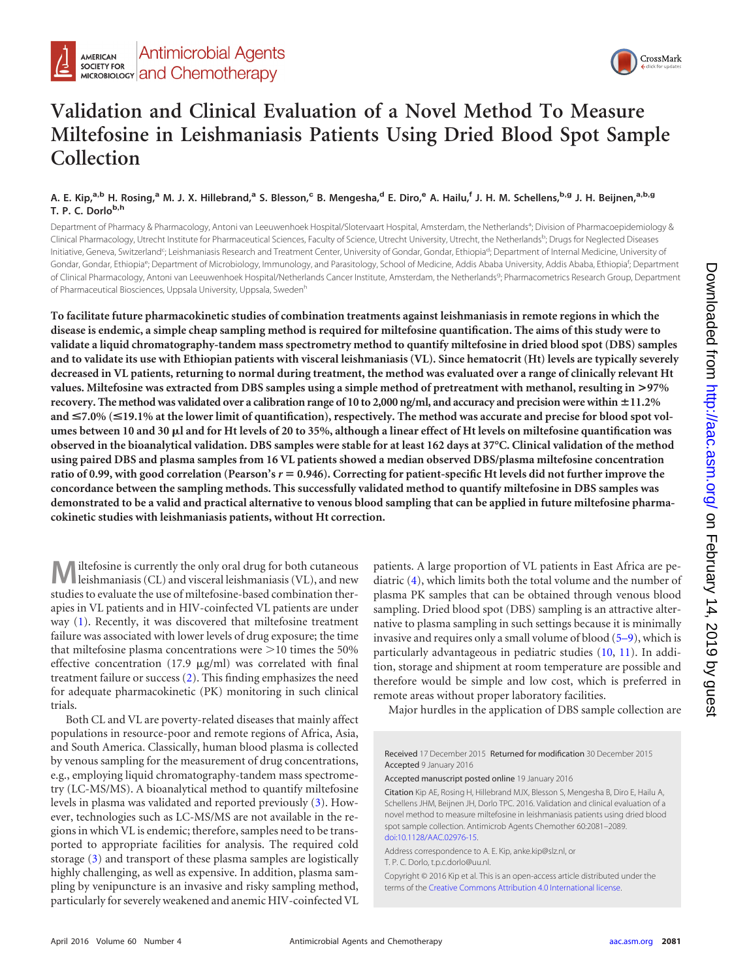

# **Validation and Clinical Evaluation of a Novel Method To Measure Miltefosine in Leishmaniasis Patients Using Dried Blood Spot Sample Collection**

# A. E. Kip,<sup>a,b</sup> H. Rosing,<sup>a</sup> M. J. X. Hillebrand,<sup>a</sup> S. Blesson,<sup>c</sup> B. Mengesha,<sup>d</sup> E. Diro,<sup>e</sup> A. Hailu,<sup>f</sup> J. H. M. Schellens,<sup>b,g</sup> J. H. Beijnen,<sup>a,b,g</sup> **T. P. C. Dorlob,h**

Department of Pharmacy & Pharmacology, Antoni van Leeuwenhoek Hospital/Slotervaart Hospital, Amsterdam, the Netherlands<sup>a</sup>; Division of Pharmacoepidemiology & Clinical Pharmacology, Utrecht Institute for Pharmaceutical Sciences, Faculty of Science, Utrecht University, Utrecht, the Netherlands<sup>b</sup>; Drugs for Neglected Diseases Initiative, Geneva, Switzerland<sup>c</sup>; Leishmaniasis Research and Treatment Center, University of Gondar, Gondar, Ethiopia<sup>d</sup>; Department of Internal Medicine, University of Gondar, Gondar, Ethiopia<sup>e</sup>; Department of Microbiology, Immunology, and Parasitology, School of Medicine, Addis Ababa University, Addis Ababa, Ethiopia<sup>f</sup>; Department of Clinical Pharmacology, Antoni van Leeuwenhoek Hospital/Netherlands Cancer Institute, Amsterdam, the Netherlands<sup>9</sup>; Pharmacometrics Research Group, Department of Pharmaceutical Biosciences, Uppsala University, Uppsala, Swedenh

**To facilitate future pharmacokinetic studies of combination treatments against leishmaniasis in remote regions in which the disease is endemic, a simple cheap sampling method is required for miltefosine quantification. The aims of this study were to validate a liquid chromatography-tandem mass spectrometry method to quantify miltefosine in dried blood spot (DBS) samples and to validate its use with Ethiopian patients with visceral leishmaniasis (VL). Since hematocrit (Ht) levels are typically severely decreased in VL patients, returning to normal during treatment, the method was evaluated over a range of clinically relevant Ht values. Miltefosine was extracted from DBS samples using a simple method of pretreatment with methanol, resulting in >97% recovery. The method was validated over a calibration range of 10 to 2,000 ng/ml, and accuracy and precision were within** -**11.2%** and  $\leq$ 7.0% ( $\leq$ 19.1% at the lower limit of quantification), respectively. The method was accurate and precise for blood spot volumes between 10 and 30  $\mu$ l and for Ht levels of 20 to 35%, although a linear effect of Ht levels on miltefosine quantification was **observed in the bioanalytical validation. DBS samples were stable for at least 162 days at 37°C. Clinical validation of the method using paired DBS and plasma samples from 16 VL patients showed a median observed DBS/plasma miltefosine concentration ratio of 0.99, with good correlation (Pearson's** *r* **0.946). Correcting for patient-specific Ht levels did not further improve the concordance between the sampling methods. This successfully validated method to quantify miltefosine in DBS samples was demonstrated to be a valid and practical alternative to venous blood sampling that can be applied in future miltefosine pharmacokinetic studies with leishmaniasis patients, without Ht correction.**

**M**iltefosine is currently the only oral drug for both cutaneous leishmaniasis (CL) and visceral leishmaniasis (VL), and new studies to evaluate the use of miltefosine-based combination therapies in VL patients and in HIV-coinfected VL patients are under way [\(1\)](#page-7-0). Recently, it was discovered that miltefosine treatment failure was associated with lower levels of drug exposure; the time that miltefosine plasma concentrations were  $>$  10 times the 50% effective concentration (17.9  $\mu$ g/ml) was correlated with final treatment failure or success [\(2\)](#page-7-1). This finding emphasizes the need for adequate pharmacokinetic (PK) monitoring in such clinical trials.

Both CL and VL are poverty-related diseases that mainly affect populations in resource-poor and remote regions of Africa, Asia, and South America. Classically, human blood plasma is collected by venous sampling for the measurement of drug concentrations, e.g., employing liquid chromatography-tandem mass spectrometry (LC-MS/MS). A bioanalytical method to quantify miltefosine levels in plasma was validated and reported previously [\(3\)](#page-7-2). However, technologies such as LC-MS/MS are not available in the regions in which VL is endemic; therefore, samples need to be transported to appropriate facilities for analysis. The required cold storage [\(3\)](#page-7-2) and transport of these plasma samples are logistically highly challenging, as well as expensive. In addition, plasma sampling by venipuncture is an invasive and risky sampling method, particularly for severely weakened and anemic HIV-coinfected VL

patients. A large proportion of VL patients in East Africa are pediatric [\(4\)](#page-7-3), which limits both the total volume and the number of plasma PK samples that can be obtained through venous blood sampling. Dried blood spot (DBS) sampling is an attractive alternative to plasma sampling in such settings because it is minimally invasive and requires only a small volume of blood [\(5](#page-7-4)[–](#page-8-0)[9\)](#page-8-1), which is particularly advantageous in pediatric studies [\(10,](#page-8-2) [11\)](#page-8-3). In addition, storage and shipment at room temperature are possible and therefore would be simple and low cost, which is preferred in remote areas without proper laboratory facilities.

Major hurdles in the application of DBS sample collection are

Received 17 December 2015 Returned for modification 30 December 2015 Accepted 9 January 2016

Accepted manuscript posted online 19 January 2016

Citation Kip AE, Rosing H, Hillebrand MJX, Blesson S, Mengesha B, Diro E, Hailu A, Schellens JHM, Beijnen JH, Dorlo TPC. 2016. Validation and clinical evaluation of a novel method to measure miltefosine in leishmaniasis patients using dried blood spot sample collection. Antimicrob Agents Chemother 60:2081–2089. [doi:10.1128/AAC.02976-15.](http://dx.doi.org/10.1128/AAC.02976-15)

Address correspondence to A. E. Kip, anke.kip@slz.nl, or T. P. C. Dorlo, t.p.c.dorlo@uu.nl.

Copyright © 2016 Kip et al. This is an open-access article distributed under the terms of the [Creative Commons Attribution 4.0 International license.](http://creativecommons.org/licenses/by/4.0/)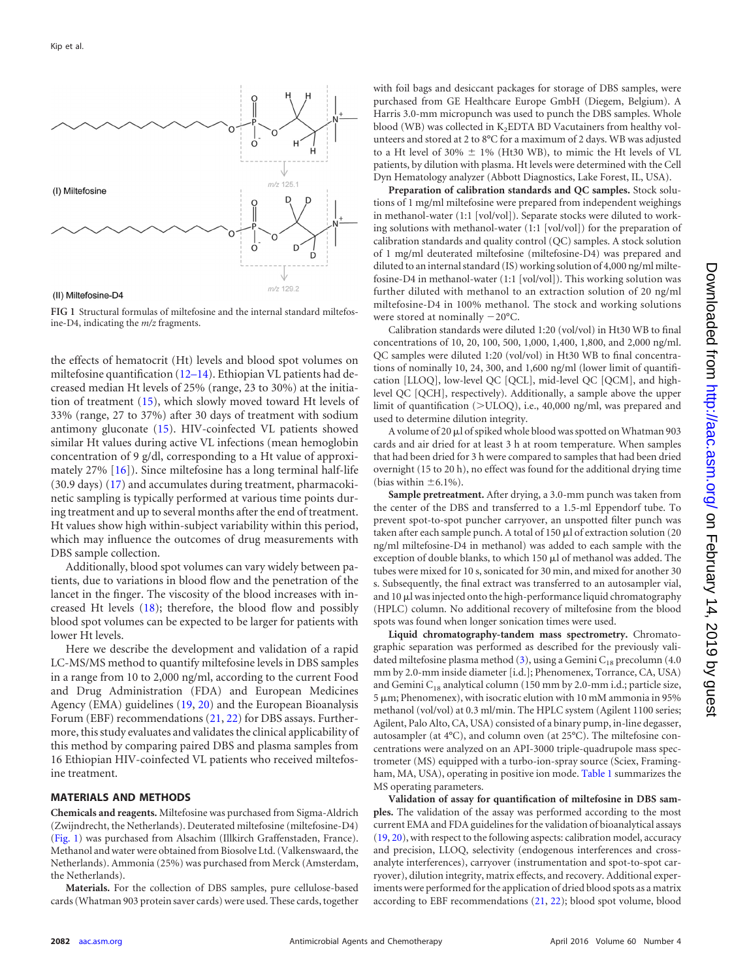

<span id="page-1-0"></span>**FIG 1** Structural formulas of miltefosine and the internal standard miltefosine-D4, indicating the *m/z* fragments.

the effects of hematocrit (Ht) levels and blood spot volumes on miltefosine quantification [\(12](#page-8-4)[–](#page-8-5)[14\)](#page-8-6). Ethiopian VL patients had decreased median Ht levels of 25% (range, 23 to 30%) at the initiation of treatment [\(15\)](#page-8-7), which slowly moved toward Ht levels of 33% (range, 27 to 37%) after 30 days of treatment with sodium antimony gluconate [\(15\)](#page-8-7). HIV-coinfected VL patients showed similar Ht values during active VL infections (mean hemoglobin concentration of 9 g/dl, corresponding to a Ht value of approximately 27% [\[16\]](#page-8-8)). Since miltefosine has a long terminal half-life (30.9 days) [\(17\)](#page-8-9) and accumulates during treatment, pharmacokinetic sampling is typically performed at various time points during treatment and up to several months after the end of treatment. Ht values show high within-subject variability within this period, which may influence the outcomes of drug measurements with DBS sample collection.

Additionally, blood spot volumes can vary widely between patients, due to variations in blood flow and the penetration of the lancet in the finger. The viscosity of the blood increases with increased Ht levels [\(18\)](#page-8-10); therefore, the blood flow and possibly blood spot volumes can be expected to be larger for patients with lower Ht levels.

Here we describe the development and validation of a rapid LC-MS/MS method to quantify miltefosine levels in DBS samples in a range from 10 to 2,000 ng/ml, according to the current Food and Drug Administration (FDA) and European Medicines Agency (EMA) guidelines [\(19,](#page-8-11) [20\)](#page-8-12) and the European Bioanalysis Forum (EBF) recommendations [\(21,](#page-8-13) [22\)](#page-8-14) for DBS assays. Furthermore, this study evaluates and validates the clinical applicability of this method by comparing paired DBS and plasma samples from 16 Ethiopian HIV-coinfected VL patients who received miltefosine treatment.

## **MATERIALS AND METHODS**

**Chemicals and reagents.** Miltefosine was purchased from Sigma-Aldrich (Zwijndrecht, the Netherlands). Deuterated miltefosine (miltefosine-D4) [\(Fig. 1\)](#page-1-0) was purchased from Alsachim (Illkirch Graffenstaden, France). Methanol and water were obtained from Biosolve Ltd. (Valkenswaard, the Netherlands). Ammonia (25%) was purchased from Merck (Amsterdam, the Netherlands).

**Materials.** For the collection of DBS samples, pure cellulose-based cards (Whatman 903 protein saver cards) were used. These cards, together with foil bags and desiccant packages for storage of DBS samples, were purchased from GE Healthcare Europe GmbH (Diegem, Belgium). A Harris 3.0-mm micropunch was used to punch the DBS samples. Whole blood (WB) was collected in K<sub>2</sub>EDTA BD Vacutainers from healthy volunteers and stored at 2 to 8°C for a maximum of 2 days. WB was adjusted to a Ht level of 30%  $\pm$  1% (Ht30 WB), to mimic the Ht levels of VL patients, by dilution with plasma. Ht levels were determined with the Cell Dyn Hematology analyzer (Abbott Diagnostics, Lake Forest, IL, USA).

**Preparation of calibration standards and QC samples.** Stock solutions of 1 mg/ml miltefosine were prepared from independent weighings in methanol-water (1:1 [vol/vol]). Separate stocks were diluted to working solutions with methanol-water (1:1 [vol/vol]) for the preparation of calibration standards and quality control (QC) samples. A stock solution of 1 mg/ml deuterated miltefosine (miltefosine-D4) was prepared and diluted to an internal standard (IS) working solution of 4,000 ng/ml miltefosine-D4 in methanol-water (1:1 [vol/vol]). This working solution was further diluted with methanol to an extraction solution of 20 ng/ml miltefosine-D4 in 100% methanol. The stock and working solutions were stored at nominally  $-20^{\circ}$ C.

Calibration standards were diluted 1:20 (vol/vol) in Ht30 WB to final concentrations of 10, 20, 100, 500, 1,000, 1,400, 1,800, and 2,000 ng/ml. QC samples were diluted 1:20 (vol/vol) in Ht30 WB to final concentrations of nominally 10, 24, 300, and 1,600 ng/ml (lower limit of quantification [LLOQ], low-level QC [QCL], mid-level QC [QCM], and highlevel QC [QCH], respectively). Additionally, a sample above the upper limit of quantification (-ULOQ), i.e., 40,000 ng/ml, was prepared and used to determine dilution integrity.

A volume of 20  $\mu$ l of spiked whole blood was spotted on Whatman 903 cards and air dried for at least 3 h at room temperature. When samples that had been dried for 3 h were compared to samples that had been dried overnight (15 to 20 h), no effect was found for the additional drying time (bias within  $\pm 6.1\%$ ).

**Sample pretreatment.** After drying, a 3.0-mm punch was taken from the center of the DBS and transferred to a 1.5-ml Eppendorf tube. To prevent spot-to-spot puncher carryover, an unspotted filter punch was taken after each sample punch. A total of  $150 \mu$ l of extraction solution (20 ng/ml miltefosine-D4 in methanol) was added to each sample with the exception of double blanks, to which  $150 \mu l$  of methanol was added. The tubes were mixed for 10 s, sonicated for 30 min, and mixed for another 30 s. Subsequently, the final extract was transferred to an autosampler vial, and  $10 \mu$ l was injected onto the high-performance liquid chromatography (HPLC) column. No additional recovery of miltefosine from the blood spots was found when longer sonication times were used.

**Liquid chromatography-tandem mass spectrometry.** Chromatographic separation was performed as described for the previously vali-dated miltefosine plasma method [\(3\)](#page-7-2), using a Gemini  $C_{18}$  precolumn (4.0 mm by 2.0-mm inside diameter [i.d.]; Phenomenex, Torrance, CA, USA) and Gemini  $C_{18}$  analytical column (150 mm by 2.0-mm i.d.; particle size,  $5 \mu m$ ; Phenomenex), with isocratic elution with 10 mM ammonia in 95% methanol (vol/vol) at 0.3 ml/min. The HPLC system (Agilent 1100 series; Agilent, Palo Alto, CA, USA) consisted of a binary pump, in-line degasser, autosampler (at 4°C), and column oven (at 25°C). The miltefosine concentrations were analyzed on an API-3000 triple-quadrupole mass spectrometer (MS) equipped with a turbo-ion-spray source (Sciex, Framing-ham, MA, USA), operating in positive ion mode. [Table 1](#page-2-0) summarizes the MS operating parameters.

**Validation of assay for quantification of miltefosine in DBS samples.** The validation of the assay was performed according to the most current EMA and FDA guidelines for the validation of bioanalytical assays [\(19,](#page-8-11) [20\)](#page-8-12), with respect to the following aspects: calibration model, accuracy and precision, LLOQ, selectivity (endogenous interferences and crossanalyte interferences), carryover (instrumentation and spot-to-spot carryover), dilution integrity, matrix effects, and recovery. Additional experiments were performed for the application of dried blood spots as a matrix according to EBF recommendations [\(21,](#page-8-13) [22\)](#page-8-14); blood spot volume, blood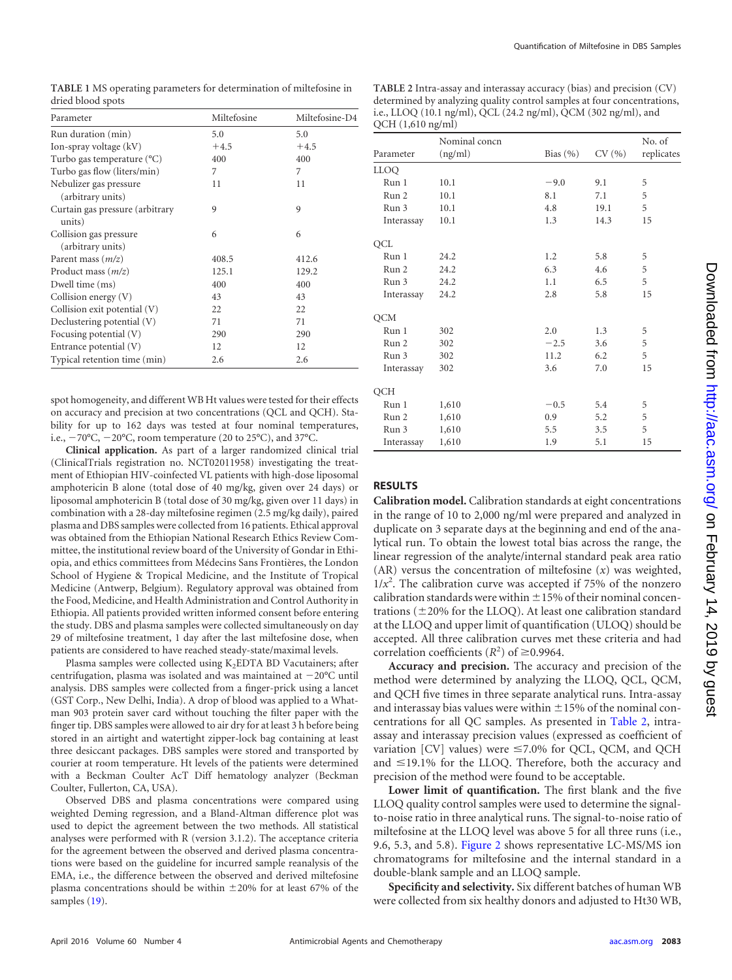<span id="page-2-0"></span>**TABLE 1** MS operating parameters for determination of miltefosine in dried blood spots

| Parameter                             | Miltefosine | Miltefosine-D4 |  |
|---------------------------------------|-------------|----------------|--|
| Run duration (min)                    | 5.0         | 5.0            |  |
| Ion-spray voltage (kV)                | $+4.5$      | $+4.5$         |  |
| Turbo gas temperature $({}^{\circ}C)$ | 400         | 400            |  |
| Turbo gas flow (liters/min)           | 7           | 7              |  |
| Nebulizer gas pressure                | 11          | 11             |  |
| (arbitrary units)                     |             |                |  |
| Curtain gas pressure (arbitrary       | 9           | 9              |  |
| units)                                |             |                |  |
| Collision gas pressure                | 6           | 6              |  |
| (arbitrary units)                     |             |                |  |
| Parent mass $(m/z)$                   | 408.5       | 412.6          |  |
| Product mass $(m/z)$                  | 125.1       | 129.2          |  |
| Dwell time (ms)                       | 400         | 400            |  |
| Collision energy $(V)$                | 43          | 43             |  |
| Collision exit potential (V)          | 22          | 22             |  |
| Declustering potential (V)            | 71          | 71             |  |
| Focusing potential (V)                | 290         | 290            |  |
| Entrance potential (V)                | 12          | 12             |  |
| Typical retention time (min)          | 2.6         | 2.6            |  |

spot homogeneity, and different WB Ht values were tested for their effects on accuracy and precision at two concentrations (QCL and QCH). Stability for up to 162 days was tested at four nominal temperatures, i.e.,  $-70^{\circ}$ C,  $-20^{\circ}$ C, room temperature (20 to 25 $^{\circ}$ C), and 37 $^{\circ}$ C.

**Clinical application.** As part of a larger randomized clinical trial (ClinicalTrials registration no. NCT02011958) investigating the treatment of Ethiopian HIV-coinfected VL patients with high-dose liposomal amphotericin B alone (total dose of 40 mg/kg, given over 24 days) or liposomal amphotericin B (total dose of 30 mg/kg, given over 11 days) in combination with a 28-day miltefosine regimen (2.5 mg/kg daily), paired plasma and DBS samples were collected from 16 patients. Ethical approval was obtained from the Ethiopian National Research Ethics Review Committee, the institutional review board of the University of Gondar in Ethiopia, and ethics committees from Médecins Sans Frontières, the London School of Hygiene & Tropical Medicine, and the Institute of Tropical Medicine (Antwerp, Belgium). Regulatory approval was obtained from the Food, Medicine, and Health Administration and Control Authority in Ethiopia. All patients provided written informed consent before entering the study. DBS and plasma samples were collected simultaneously on day 29 of miltefosine treatment, 1 day after the last miltefosine dose, when patients are considered to have reached steady-state/maximal levels.

Plasma samples were collected using K<sub>2</sub>EDTA BD Vacutainers; after centrifugation, plasma was isolated and was maintained at  $-20^{\circ}$ C until analysis. DBS samples were collected from a finger-prick using a lancet (GST Corp., New Delhi, India). A drop of blood was applied to a Whatman 903 protein saver card without touching the filter paper with the finger tip. DBS samples were allowed to air dry for at least 3 h before being stored in an airtight and watertight zipper-lock bag containing at least three desiccant packages. DBS samples were stored and transported by courier at room temperature. Ht levels of the patients were determined with a Beckman Coulter AcT Diff hematology analyzer (Beckman Coulter, Fullerton, CA, USA).

Observed DBS and plasma concentrations were compared using weighted Deming regression, and a Bland-Altman difference plot was used to depict the agreement between the two methods. All statistical analyses were performed with R (version 3.1.2). The acceptance criteria for the agreement between the observed and derived plasma concentrations were based on the guideline for incurred sample reanalysis of the EMA, i.e., the difference between the observed and derived miltefosine plasma concentrations should be within  $\pm 20\%$  for at least 67% of the samples [\(19\)](#page-8-11).

<span id="page-2-1"></span>

| <b>TABLE 2</b> Intra-assay and interassay accuracy (bias) and precision (CV) |
|------------------------------------------------------------------------------|
| determined by analyzing quality control samples at four concentrations,      |
| i.e., LLOQ (10.1 ng/ml), QCL (24.2 ng/ml), QCM (302 ng/ml), and              |
| $OCH(1,610 \text{ ng/ml})$                                                   |

| Parameter   | Nominal concn<br>(ng/ml) | Bias $(\% )$ | CV(%) | No. of<br>replicates |
|-------------|--------------------------|--------------|-------|----------------------|
| <b>LLOQ</b> |                          |              |       |                      |
| Run 1       | 10.1                     | $-9.0$       | 9.1   | 5                    |
| Run 2       | 10.1                     | 8.1          | 7.1   | 5                    |
| Run 3       | 10.1                     | 4.8          | 19.1  | 5                    |
| Interassay  | 10.1                     | 1.3          | 14.3  | 15                   |
| QCL         |                          |              |       |                      |
| Run 1       | 24.2                     | 1.2          | 5.8   | 5                    |
| Run 2       | 24.2                     | 6.3          | 4.6   | 5                    |
| Run 3       | 24.2                     | 1.1          | 6.5   | 5                    |
| Interassay  | 24.2                     | 2.8          | 5.8   | 15                   |
| QCM         |                          |              |       |                      |
| Run 1       | 302                      | 2.0          | 1.3   | 5                    |
| Run 2       | 302                      | $-2.5$       | 3.6   | 5                    |
| Run 3       | 302                      | 11.2         | 6.2   | 5                    |
| Interassay  | 302                      | 3.6          | 7.0   | 15                   |
| QCH         |                          |              |       |                      |
| Run 1       | 1,610                    | $-0.5$       | 5.4   | 5                    |
| Run 2       | 1,610                    | 0.9          | 5.2   | 5                    |
| Run 3       | 1,610                    | 5.5          | 3.5   | 5                    |
| Interassay  | 1,610                    | 1.9          | 5.1   | 15                   |

# **RESULTS**

**Calibration model.** Calibration standards at eight concentrations in the range of 10 to 2,000 ng/ml were prepared and analyzed in duplicate on 3 separate days at the beginning and end of the analytical run. To obtain the lowest total bias across the range, the linear regression of the analyte/internal standard peak area ratio (AR) versus the concentration of miltefosine (*x*) was weighted,  $1/x<sup>2</sup>$ . The calibration curve was accepted if 75% of the nonzero calibration standards were within  $\pm 15$ % of their nominal concentrations ( $\pm$ 20% for the LLOQ). At least one calibration standard at the LLOQ and upper limit of quantification (ULOQ) should be accepted. All three calibration curves met these criteria and had correlation coefficients  $(R^2)$  of  $\geq$  0.9964.

**Accuracy and precision.** The accuracy and precision of the method were determined by analyzing the LLOQ, QCL, QCM, and QCH five times in three separate analytical runs. Intra-assay and interassay bias values were within  $\pm$ 15% of the nominal concentrations for all QC samples. As presented in [Table 2,](#page-2-1) intraassay and interassay precision values (expressed as coefficient of variation [CV] values) were  $\leq 7.0\%$  for QCL, QCM, and QCH and  $\leq$ 19.1% for the LLOQ. Therefore, both the accuracy and precision of the method were found to be acceptable.

**Lower limit of quantification.** The first blank and the five LLOQ quality control samples were used to determine the signalto-noise ratio in three analytical runs. The signal-to-noise ratio of miltefosine at the LLOQ level was above 5 for all three runs (i.e., 9.6, 5.3, and 5.8). [Figure 2](#page-3-0) shows representative LC-MS/MS ion chromatograms for miltefosine and the internal standard in a double-blank sample and an LLOQ sample.

**Specificity and selectivity.** Six different batches of human WB were collected from six healthy donors and adjusted to Ht30 WB,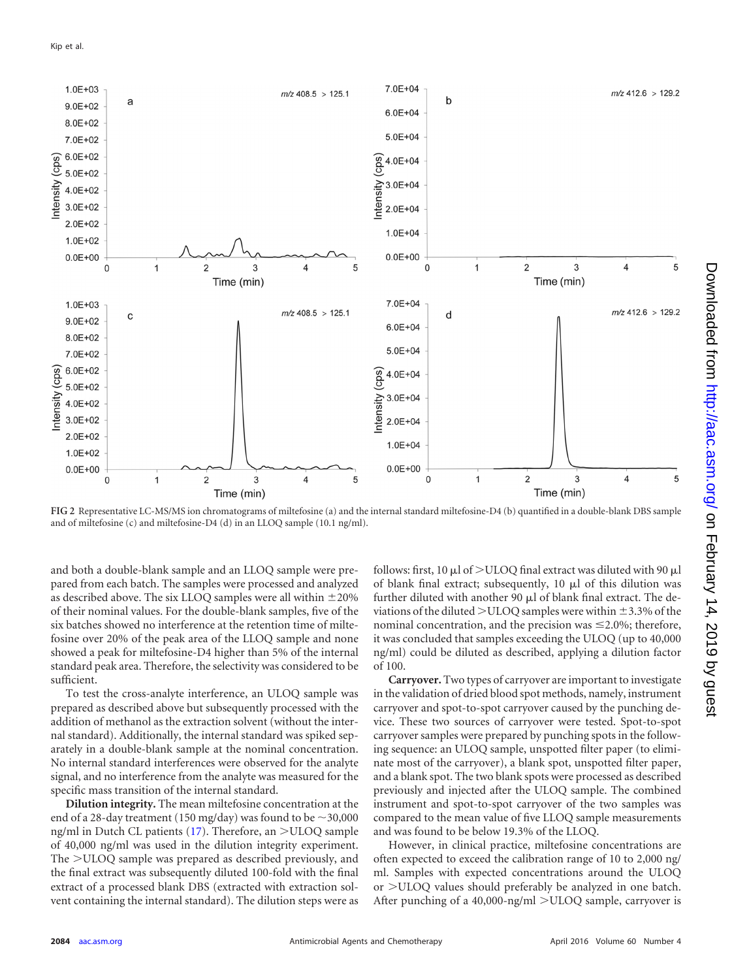

<span id="page-3-0"></span>**FIG 2** Representative LC-MS/MS ion chromatograms of miltefosine (a) and the internal standard miltefosine-D4 (b) quantified in a double-blank DBS sample and of miltefosine (c) and miltefosine-D4 (d) in an LLOQ sample (10.1 ng/ml).

and both a double-blank sample and an LLOQ sample were prepared from each batch. The samples were processed and analyzed as described above. The six LLOQ samples were all within  $\pm 20\%$ of their nominal values. For the double-blank samples, five of the six batches showed no interference at the retention time of miltefosine over 20% of the peak area of the LLOQ sample and none showed a peak for miltefosine-D4 higher than 5% of the internal standard peak area. Therefore, the selectivity was considered to be sufficient.

To test the cross-analyte interference, an ULOQ sample was prepared as described above but subsequently processed with the addition of methanol as the extraction solvent (without the internal standard). Additionally, the internal standard was spiked separately in a double-blank sample at the nominal concentration. No internal standard interferences were observed for the analyte signal, and no interference from the analyte was measured for the specific mass transition of the internal standard.

**Dilution integrity.** The mean miltefosine concentration at the end of a 28-day treatment (150 mg/day) was found to be  $\sim$ 30,000 ng/ml in Dutch CL patients [\(17\)](#page-8-9). Therefore, an >ULOQ sample of 40,000 ng/ml was used in the dilution integrity experiment. The >ULOQ sample was prepared as described previously, and the final extract was subsequently diluted 100-fold with the final extract of a processed blank DBS (extracted with extraction solvent containing the internal standard). The dilution steps were as

follows: first, 10  $\mu$ l of  $>$ ULOQ final extract was diluted with 90  $\mu$ l of blank final extract; subsequently,  $10 \mu l$  of this dilution was further diluted with another 90  $\mu$ l of blank final extract. The deviations of the diluted  $>$  ULOQ samples were within  $\pm$  3.3% of the nominal concentration, and the precision was  $\leq 2.0\%$ ; therefore, it was concluded that samples exceeding the ULOQ (up to 40,000 ng/ml) could be diluted as described, applying a dilution factor of 100.

**Carryover.** Two types of carryover are important to investigate in the validation of dried blood spot methods, namely, instrument carryover and spot-to-spot carryover caused by the punching device. These two sources of carryover were tested. Spot-to-spot carryover samples were prepared by punching spots in the following sequence: an ULOQ sample, unspotted filter paper (to eliminate most of the carryover), a blank spot, unspotted filter paper, and a blank spot. The two blank spots were processed as described previously and injected after the ULOQ sample. The combined instrument and spot-to-spot carryover of the two samples was compared to the mean value of five LLOQ sample measurements and was found to be below 19.3% of the LLOQ.

However, in clinical practice, miltefosine concentrations are often expected to exceed the calibration range of 10 to 2,000 ng/ ml. Samples with expected concentrations around the ULOQ or >ULOQ values should preferably be analyzed in one batch. After punching of a 40,000-ng/ml >ULOQ sample, carryover is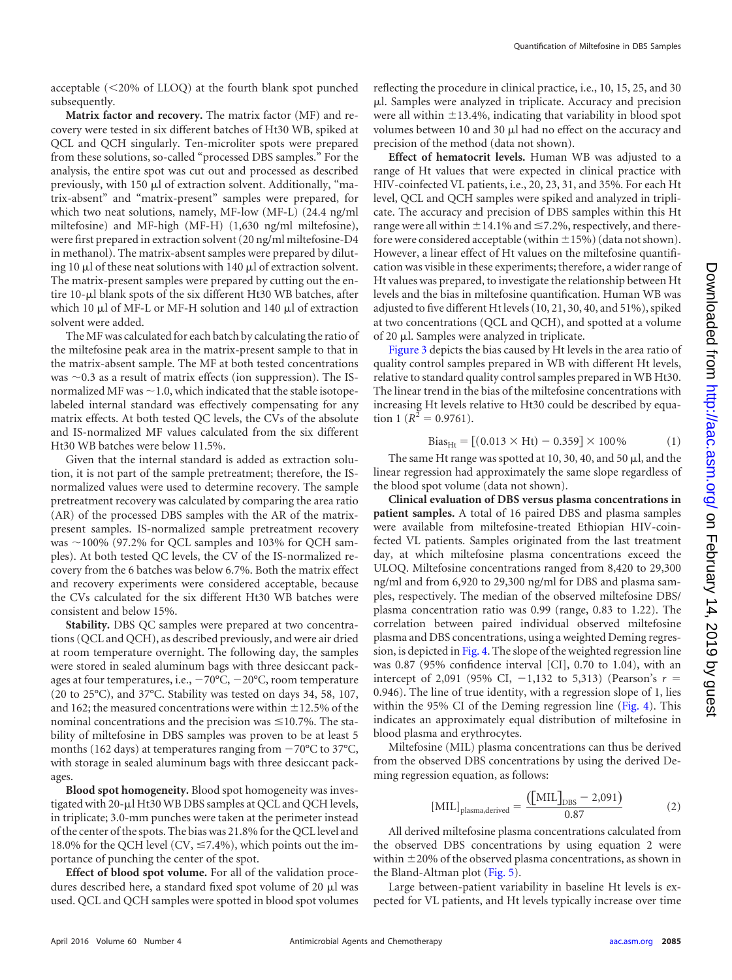acceptable (20% of LLOQ) at the fourth blank spot punched subsequently.

**Matrix factor and recovery.** The matrix factor (MF) and recovery were tested in six different batches of Ht30 WB, spiked at QCL and QCH singularly. Ten-microliter spots were prepared from these solutions, so-called "processed DBS samples." For the analysis, the entire spot was cut out and processed as described previously, with 150  $\mu$ l of extraction solvent. Additionally, "matrix-absent" and "matrix-present" samples were prepared, for which two neat solutions, namely, MF-low (MF-L) (24.4 ng/ml miltefosine) and MF-high (MF-H) (1,630 ng/ml miltefosine), were first prepared in extraction solvent (20 ng/ml miltefosine-D4 in methanol). The matrix-absent samples were prepared by diluting 10  $\mu$ l of these neat solutions with 140  $\mu$ l of extraction solvent. The matrix-present samples were prepared by cutting out the entire 10-µl blank spots of the six different Ht30 WB batches, after which 10  $\mu$ l of MF-L or MF-H solution and 140  $\mu$ l of extraction solvent were added.

The MF was calculated for each batch by calculating the ratio of the miltefosine peak area in the matrix-present sample to that in the matrix-absent sample. The MF at both tested concentrations was  $\sim$ 0.3 as a result of matrix effects (ion suppression). The ISnormalized MF was  $\sim$  1.0, which indicated that the stable isotopelabeled internal standard was effectively compensating for any matrix effects. At both tested QC levels, the CVs of the absolute and IS-normalized MF values calculated from the six different Ht30 WB batches were below 11.5%.

Given that the internal standard is added as extraction solution, it is not part of the sample pretreatment; therefore, the ISnormalized values were used to determine recovery. The sample pretreatment recovery was calculated by comparing the area ratio (AR) of the processed DBS samples with the AR of the matrixpresent samples. IS-normalized sample pretreatment recovery was  $\sim$ 100% (97.2% for QCL samples and 103% for QCH samples). At both tested QC levels, the CV of the IS-normalized recovery from the 6 batches was below 6.7%. Both the matrix effect and recovery experiments were considered acceptable, because the CVs calculated for the six different Ht30 WB batches were consistent and below 15%.

**Stability.** DBS QC samples were prepared at two concentrations (QCL and QCH), as described previously, and were air dried at room temperature overnight. The following day, the samples were stored in sealed aluminum bags with three desiccant packages at four temperatures, i.e.,  $-70^{\circ}$ C,  $-20^{\circ}$ C, room temperature (20 to 25°C), and 37°C. Stability was tested on days 34, 58, 107, and 162; the measured concentrations were within  $\pm$ 12.5% of the nominal concentrations and the precision was  $\leq$ 10.7%. The stability of miltefosine in DBS samples was proven to be at least 5 months (162 days) at temperatures ranging from  $-70^{\circ}$ C to 37 $^{\circ}$ C, with storage in sealed aluminum bags with three desiccant packages.

**Blood spot homogeneity.** Blood spot homogeneity was investigated with 20-µl Ht30 WB DBS samples at QCL and QCH levels, in triplicate; 3.0-mm punches were taken at the perimeter instead of the center of the spots. The bias was 21.8% for the QCL level and 18.0% for the QCH level (CV,  $\leq 7.4\%$ ), which points out the importance of punching the center of the spot.

**Effect of blood spot volume.** For all of the validation procedures described here, a standard fixed spot volume of 20  $\mu$ l was used. QCL and QCH samples were spotted in blood spot volumes reflecting the procedure in clinical practice, i.e., 10, 15, 25, and 30 l. Samples were analyzed in triplicate. Accuracy and precision were all within  $\pm 13.4\%$ , indicating that variability in blood spot volumes between 10 and 30  $\mu$ l had no effect on the accuracy and precision of the method (data not shown).

**Effect of hematocrit levels.** Human WB was adjusted to a range of Ht values that were expected in clinical practice with HIV-coinfected VL patients, i.e., 20, 23, 31, and 35%. For each Ht level, QCL and QCH samples were spiked and analyzed in triplicate. The accuracy and precision of DBS samples within this Ht range were all within  $\pm 14.1\%$  and  $\leq 7.2\%$ , respectively, and therefore were considered acceptable (within  $\pm$ 15%) (data not shown). However, a linear effect of Ht values on the miltefosine quantification was visible in these experiments; therefore, a wider range of Ht values was prepared, to investigate the relationship between Ht levels and the bias in miltefosine quantification. Human WB was adjusted to five different Ht levels (10, 21, 30, 40, and 51%), spiked at two concentrations (QCL and QCH), and spotted at a volume of 20 µl. Samples were analyzed in triplicate.

[Figure 3](#page-5-0) depicts the bias caused by Ht levels in the area ratio of quality control samples prepared in WB with different Ht levels, relative to standard quality control samples prepared in WB Ht30. The linear trend in the bias of the miltefosine concentrations with increasing Ht levels relative to Ht30 could be described by equation 1 ( $R^2 = 0.9761$ ).

Bias<sub>Ht</sub> = 
$$
[(0.013 \times Ht) - 0.359] \times 100\%
$$
 (1)

The same Ht range was spotted at 10, 30, 40, and 50  $\mu$ l, and the linear regression had approximately the same slope regardless of the blood spot volume (data not shown).

**Clinical evaluation of DBS versus plasma concentrations in patient samples.** A total of 16 paired DBS and plasma samples were available from miltefosine-treated Ethiopian HIV-coinfected VL patients. Samples originated from the last treatment day, at which miltefosine plasma concentrations exceed the ULOQ. Miltefosine concentrations ranged from 8,420 to 29,300 ng/ml and from 6,920 to 29,300 ng/ml for DBS and plasma samples, respectively. The median of the observed miltefosine DBS/ plasma concentration ratio was 0.99 (range, 0.83 to 1.22). The correlation between paired individual observed miltefosine plasma and DBS concentrations, using a weighted Deming regression, is depicted in [Fig. 4.](#page-5-1) The slope of the weighted regression line was 0.87 (95% confidence interval [CI], 0.70 to 1.04), with an intercept of 2,091 (95% CI,  $-1,132$  to 5,313) (Pearson's  $r =$ 0.946). The line of true identity, with a regression slope of 1, lies within the 95% CI of the Deming regression line [\(Fig. 4\)](#page-5-1). This indicates an approximately equal distribution of miltefosine in blood plasma and erythrocytes.

Miltefosine (MIL) plasma concentrations can thus be derived from the observed DBS concentrations by using the derived Deming regression equation, as follows:

$$
[MIL]_{plasma, derived} = \frac{([MIL]_{\text{DBS}} - 2,091)}{0.87}
$$
 (2)

All derived miltefosine plasma concentrations calculated from the observed DBS concentrations by using equation 2 were within  $\pm$ 20% of the observed plasma concentrations, as shown in the Bland-Altman plot [\(Fig. 5\)](#page-5-2).

Large between-patient variability in baseline Ht levels is expected for VL patients, and Ht levels typically increase over time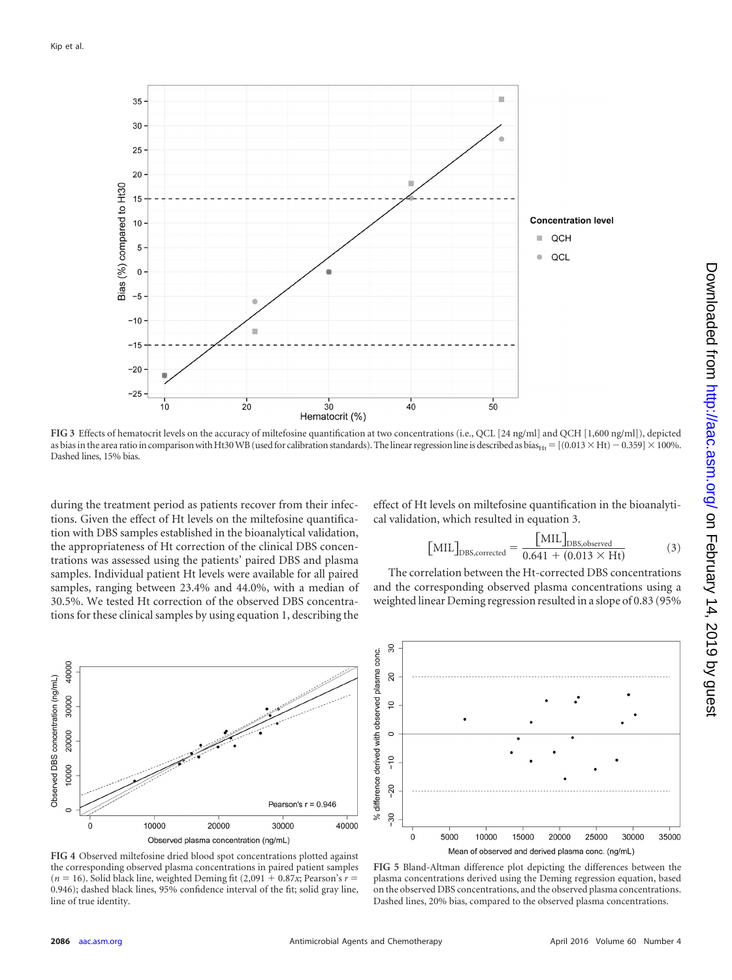

<span id="page-5-0"></span>**FIG 3** Effects of hematocrit levels on the accuracy of miltefosine quantification at two concentrations (i.e., QCL [24 ng/ml] and QCH [1,600 ng/ml]), depicted as bias in the area ratio in comparison with Ht30 WB (used for calibration standards). The linear regression line is described as bias<sub>Ht</sub> =  $[(0.013 \times Ht) - 0.359] \times 100\%$ . Dashed lines, 15% bias.

during the treatment period as patients recover from their infections. Given the effect of Ht levels on the miltefosine quantification with DBS samples established in the bioanalytical validation, the appropriateness of Ht correction of the clinical DBS concentrations was assessed using the patients' paired DBS and plasma samples. Individual patient Ht levels were available for all paired samples, ranging between 23.4% and 44.0%, with a median of 30.5%. We tested Ht correction of the observed DBS concentrations for these clinical samples by using equation 1, describing the

effect of Ht levels on miltefosine quantification in the bioanalytical validation, which resulted in equation 3.

$$
\text{[MIL]}_{\text{DBS,corrected}} = \frac{\text{[MIL]}_{\text{DBS,observed}}}{0.641 + (0.013 \times \text{Ht})}
$$
(3)

The correlation between the Ht-corrected DBS concentrations and the corresponding observed plasma concentrations using a weighted linear Deming regression resulted in a slope of 0.83 (95%



<span id="page-5-1"></span>**FIG 4** Observed miltefosine dried blood spot concentrations plotted against the corresponding observed plasma concentrations in paired patient samples  $(n = 16)$ . Solid black line, weighted Deming fit (2,091 + 0.87*x*; Pearson's  $r =$ 0.946); dashed black lines, 95% confidence interval of the fit; solid gray line, line of true identity.



<span id="page-5-2"></span>**FIG 5** Bland-Altman difference plot depicting the differences between the plasma concentrations derived using the Deming regression equation, based on the observed DBS concentrations, and the observed plasma concentrations. Dashed lines, 20% bias, compared to the observed plasma concentrations.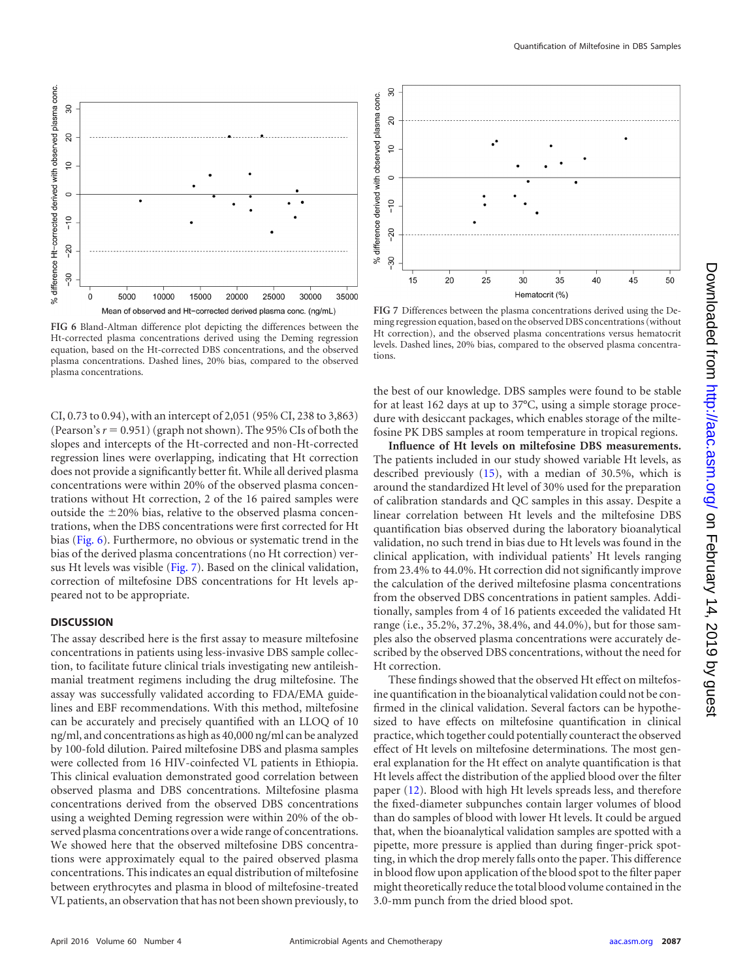

<span id="page-6-0"></span>**FIG 6** Bland-Altman difference plot depicting the differences between the Ht-corrected plasma concentrations derived using the Deming regression equation, based on the Ht-corrected DBS concentrations, and the observed plasma concentrations. Dashed lines, 20% bias, compared to the observed plasma concentrations.

CI, 0.73 to 0.94), with an intercept of 2,051 (95% CI, 238 to 3,863) (Pearson's  $r = 0.951$ ) (graph not shown). The 95% CIs of both the slopes and intercepts of the Ht-corrected and non-Ht-corrected regression lines were overlapping, indicating that Ht correction does not provide a significantly better fit. While all derived plasma concentrations were within 20% of the observed plasma concentrations without Ht correction, 2 of the 16 paired samples were outside the  $\pm 20\%$  bias, relative to the observed plasma concentrations, when the DBS concentrations were first corrected for Ht bias [\(Fig. 6\)](#page-6-0). Furthermore, no obvious or systematic trend in the bias of the derived plasma concentrations (no Ht correction) versus Ht levels was visible [\(Fig. 7\)](#page-6-1). Based on the clinical validation, correction of miltefosine DBS concentrations for Ht levels appeared not to be appropriate.

## **DISCUSSION**

The assay described here is the first assay to measure miltefosine concentrations in patients using less-invasive DBS sample collection, to facilitate future clinical trials investigating new antileishmanial treatment regimens including the drug miltefosine. The assay was successfully validated according to FDA/EMA guidelines and EBF recommendations. With this method, miltefosine can be accurately and precisely quantified with an LLOQ of 10 ng/ml, and concentrations as high as 40,000 ng/ml can be analyzed by 100-fold dilution. Paired miltefosine DBS and plasma samples were collected from 16 HIV-coinfected VL patients in Ethiopia. This clinical evaluation demonstrated good correlation between observed plasma and DBS concentrations. Miltefosine plasma concentrations derived from the observed DBS concentrations using a weighted Deming regression were within 20% of the observed plasma concentrations over a wide range of concentrations. We showed here that the observed miltefosine DBS concentrations were approximately equal to the paired observed plasma concentrations. This indicates an equal distribution of miltefosine between erythrocytes and plasma in blood of miltefosine-treated VL patients, an observation that has not been shown previously, to



<span id="page-6-1"></span>**FIG 7** Differences between the plasma concentrations derived using the Deming regression equation, based on the observed DBS concentrations (without Ht correction), and the observed plasma concentrations versus hematocrit levels. Dashed lines, 20% bias, compared to the observed plasma concentrations.

the best of our knowledge. DBS samples were found to be stable for at least 162 days at up to 37°C, using a simple storage procedure with desiccant packages, which enables storage of the miltefosine PK DBS samples at room temperature in tropical regions.

**Influence of Ht levels on miltefosine DBS measurements.** The patients included in our study showed variable Ht levels, as described previously [\(15\)](#page-8-7), with a median of 30.5%, which is around the standardized Ht level of 30% used for the preparation of calibration standards and QC samples in this assay. Despite a linear correlation between Ht levels and the miltefosine DBS quantification bias observed during the laboratory bioanalytical validation, no such trend in bias due to Ht levels was found in the clinical application, with individual patients' Ht levels ranging from 23.4% to 44.0%. Ht correction did not significantly improve the calculation of the derived miltefosine plasma concentrations from the observed DBS concentrations in patient samples. Additionally, samples from 4 of 16 patients exceeded the validated Ht range (i.e., 35.2%, 37.2%, 38.4%, and 44.0%), but for those samples also the observed plasma concentrations were accurately described by the observed DBS concentrations, without the need for Ht correction.

These findings showed that the observed Ht effect on miltefosine quantification in the bioanalytical validation could not be confirmed in the clinical validation. Several factors can be hypothesized to have effects on miltefosine quantification in clinical practice, which together could potentially counteract the observed effect of Ht levels on miltefosine determinations. The most general explanation for the Ht effect on analyte quantification is that Ht levels affect the distribution of the applied blood over the filter paper [\(12\)](#page-8-4). Blood with high Ht levels spreads less, and therefore the fixed-diameter subpunches contain larger volumes of blood than do samples of blood with lower Ht levels. It could be argued that, when the bioanalytical validation samples are spotted with a pipette, more pressure is applied than during finger-prick spotting, in which the drop merely falls onto the paper. This difference in blood flow upon application of the blood spot to the filter paper might theoretically reduce the total blood volume contained in the 3.0-mm punch from the dried blood spot.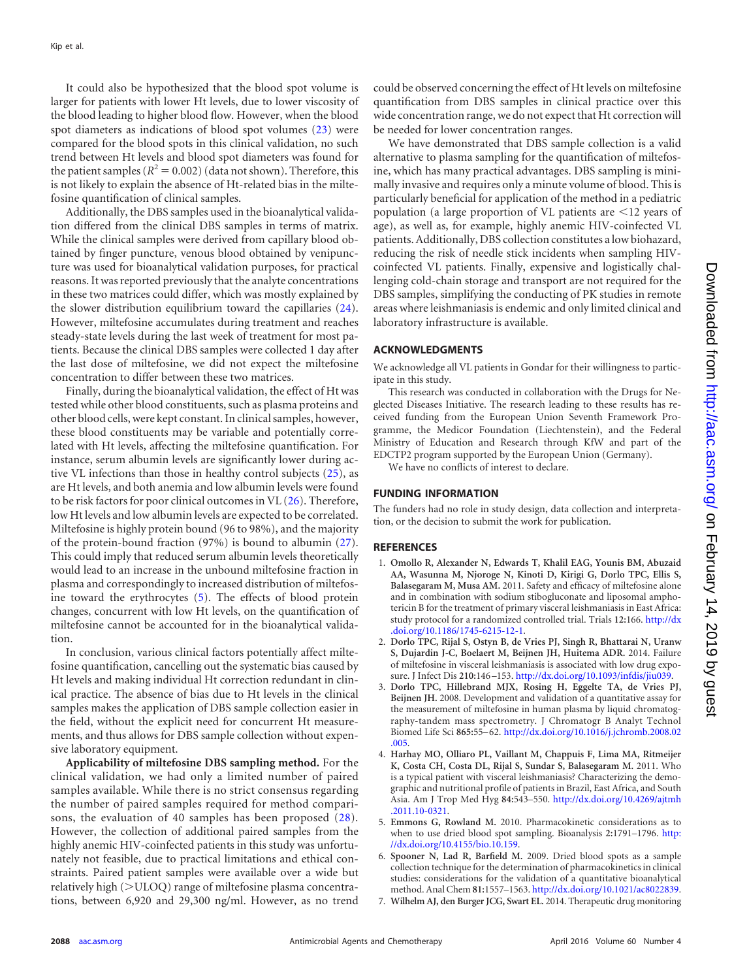It could also be hypothesized that the blood spot volume is larger for patients with lower Ht levels, due to lower viscosity of the blood leading to higher blood flow. However, when the blood spot diameters as indications of blood spot volumes [\(23\)](#page-8-15) were compared for the blood spots in this clinical validation, no such trend between Ht levels and blood spot diameters was found for the patient samples ( $R^2 = 0.002$ ) (data not shown). Therefore, this is not likely to explain the absence of Ht-related bias in the miltefosine quantification of clinical samples.

Additionally, the DBS samples used in the bioanalytical validation differed from the clinical DBS samples in terms of matrix. While the clinical samples were derived from capillary blood obtained by finger puncture, venous blood obtained by venipuncture was used for bioanalytical validation purposes, for practical reasons. It was reported previously that the analyte concentrations in these two matrices could differ, which was mostly explained by the slower distribution equilibrium toward the capillaries [\(24\)](#page-8-16). However, miltefosine accumulates during treatment and reaches steady-state levels during the last week of treatment for most patients. Because the clinical DBS samples were collected 1 day after the last dose of miltefosine, we did not expect the miltefosine concentration to differ between these two matrices.

Finally, during the bioanalytical validation, the effect of Ht was tested while other blood constituents, such as plasma proteins and other blood cells, were kept constant. In clinical samples, however, these blood constituents may be variable and potentially correlated with Ht levels, affecting the miltefosine quantification. For instance, serum albumin levels are significantly lower during active VL infections than those in healthy control subjects [\(25\)](#page-8-17), as are Ht levels, and both anemia and low albumin levels were found to be risk factors for poor clinical outcomes in VL [\(26\)](#page-8-18). Therefore, low Ht levels and low albumin levels are expected to be correlated. Miltefosine is highly protein bound (96 to 98%), and the majority of the protein-bound fraction (97%) is bound to albumin [\(27\)](#page-8-19). This could imply that reduced serum albumin levels theoretically would lead to an increase in the unbound miltefosine fraction in plasma and correspondingly to increased distribution of miltefosine toward the erythrocytes [\(5\)](#page-7-4). The effects of blood protein changes, concurrent with low Ht levels, on the quantification of miltefosine cannot be accounted for in the bioanalytical validation.

In conclusion, various clinical factors potentially affect miltefosine quantification, cancelling out the systematic bias caused by Ht levels and making individual Ht correction redundant in clinical practice. The absence of bias due to Ht levels in the clinical samples makes the application of DBS sample collection easier in the field, without the explicit need for concurrent Ht measurements, and thus allows for DBS sample collection without expensive laboratory equipment.

**Applicability of miltefosine DBS sampling method.** For the clinical validation, we had only a limited number of paired samples available. While there is no strict consensus regarding the number of paired samples required for method comparisons, the evaluation of 40 samples has been proposed  $(28)$ . However, the collection of additional paired samples from the highly anemic HIV-coinfected patients in this study was unfortunately not feasible, due to practical limitations and ethical constraints. Paired patient samples were available over a wide but relatively high (>ULOQ) range of miltefosine plasma concentrations, between 6,920 and 29,300 ng/ml. However, as no trend

could be observed concerning the effect of Ht levels on miltefosine quantification from DBS samples in clinical practice over this wide concentration range, we do not expect that Ht correction will be needed for lower concentration ranges.

We have demonstrated that DBS sample collection is a valid alternative to plasma sampling for the quantification of miltefosine, which has many practical advantages. DBS sampling is minimally invasive and requires only a minute volume of blood. This is particularly beneficial for application of the method in a pediatric population (a large proportion of VL patients are  $\leq$  12 years of age), as well as, for example, highly anemic HIV-coinfected VL patients. Additionally, DBS collection constitutes a low biohazard, reducing the risk of needle stick incidents when sampling HIVcoinfected VL patients. Finally, expensive and logistically challenging cold-chain storage and transport are not required for the DBS samples, simplifying the conducting of PK studies in remote areas where leishmaniasis is endemic and only limited clinical and laboratory infrastructure is available.

## **ACKNOWLEDGMENTS**

We acknowledge all VL patients in Gondar for their willingness to participate in this study.

This research was conducted in collaboration with the Drugs for Neglected Diseases Initiative. The research leading to these results has received funding from the European Union Seventh Framework Programme, the Medicor Foundation (Liechtenstein), and the Federal Ministry of Education and Research through KfW and part of the EDCTP2 program supported by the European Union (Germany).

We have no conflicts of interest to declare.

#### **FUNDING INFORMATION**

The funders had no role in study design, data collection and interpretation, or the decision to submit the work for publication.

#### <span id="page-7-0"></span>**REFERENCES**

- 1. **Omollo R, Alexander N, Edwards T, Khalil EAG, Younis BM, Abuzaid AA, Wasunna M, Njoroge N, Kinoti D, Kirigi G, Dorlo TPC, Ellis S, Balasegaram M, Musa AM.** 2011. Safety and efficacy of miltefosine alone and in combination with sodium stibogluconate and liposomal amphotericin B for the treatment of primary visceral leishmaniasis in East Africa: study protocol for a randomized controlled trial. Trials **12:**166. [http://dx](http://dx.doi.org/10.1186/1745-6215-12-1) [.doi.org/10.1186/1745-6215-12-1.](http://dx.doi.org/10.1186/1745-6215-12-1)
- <span id="page-7-1"></span>2. **Dorlo TPC, Rijal S, Ostyn B, de Vries PJ, Singh R, Bhattarai N, Uranw S, Dujardin J-C, Boelaert M, Beijnen JH, Huitema ADR.** 2014. Failure of miltefosine in visceral leishmaniasis is associated with low drug exposure. J Infect Dis **210:**146 –153. [http://dx.doi.org/10.1093/infdis/jiu039.](http://dx.doi.org/10.1093/infdis/jiu039)
- <span id="page-7-2"></span>3. **Dorlo TPC, Hillebrand MJX, Rosing H, Eggelte TA, de Vries PJ, Beijnen JH.** 2008. Development and validation of a quantitative assay for the measurement of miltefosine in human plasma by liquid chromatography-tandem mass spectrometry. J Chromatogr B Analyt Technol Biomed Life Sci **865:**55–62. [http://dx.doi.org/10.1016/j.jchromb.2008.02](http://dx.doi.org/10.1016/j.jchromb.2008.02.005) [.005.](http://dx.doi.org/10.1016/j.jchromb.2008.02.005)
- <span id="page-7-3"></span>4. **Harhay MO, Olliaro PL, Vaillant M, Chappuis F, Lima MA, Ritmeijer K, Costa CH, Costa DL, Rijal S, Sundar S, Balasegaram M.** 2011. Who is a typical patient with visceral leishmaniasis? Characterizing the demographic and nutritional profile of patients in Brazil, East Africa, and South Asia. Am J Trop Med Hyg **84:**543–550. [http://dx.doi.org/10.4269/ajtmh](http://dx.doi.org/10.4269/ajtmh.2011.10-0321) [.2011.10-0321.](http://dx.doi.org/10.4269/ajtmh.2011.10-0321)
- <span id="page-7-4"></span>5. **Emmons G, Rowland M.** 2010. Pharmacokinetic considerations as to when to use dried blood spot sampling. Bioanalysis **2:**1791–1796. [http:](http://dx.doi.org/10.4155/bio.10.159) [//dx.doi.org/10.4155/bio.10.159.](http://dx.doi.org/10.4155/bio.10.159)
- 6. **Spooner N, Lad R, Barfield M.** 2009. Dried blood spots as a sample collection technique for the determination of pharmacokinetics in clinical studies: considerations for the validation of a quantitative bioanalytical method. Anal Chem **81:**1557–1563. [http://dx.doi.org/10.1021/ac8022839.](http://dx.doi.org/10.1021/ac8022839)
- 7. **Wilhelm AJ, den Burger JCG, Swart EL.** 2014. Therapeutic drug monitoring